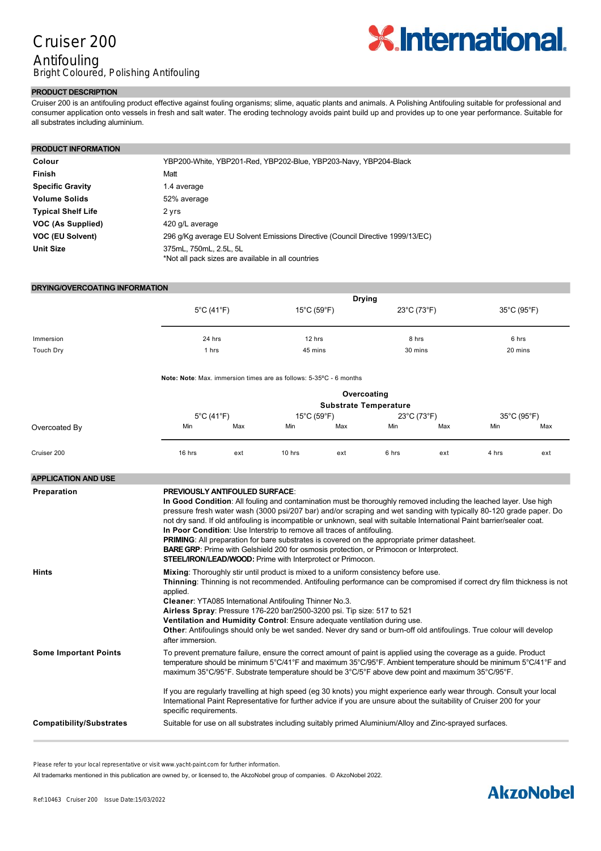# Cruiser 200 Antifouling Bright Coloured, Polishing Antifouling



#### **PRODUCT DESCRIPTION**

Cruiser 200 is an antifouling product effective against fouling organisms; slime, aquatic plants and animals. A Polishing Antifouling suitable for professional and consumer application onto vessels in fresh and salt water. The eroding technology avoids paint build up and provides up to one year performance. Suitable for all substrates including aluminium.

### **PRODUCT INFORMATION**

| Colour                    | YBP200-White, YBP201-Red, YBP202-Blue, YBP203-Navy, YBP204-Black               |
|---------------------------|--------------------------------------------------------------------------------|
| <b>Finish</b>             | Matt                                                                           |
| <b>Specific Gravity</b>   | 1.4 average                                                                    |
| <b>Volume Solids</b>      | 52% average                                                                    |
| <b>Typical Shelf Life</b> | 2 yrs                                                                          |
| VOC (As Supplied)         | 420 g/L average                                                                |
| VOC (EU Solvent)          | 296 g/Kg average EU Solvent Emissions Directive (Council Directive 1999/13/EC) |
| <b>Unit Size</b>          | 375mL, 750mL, 2.5L, 5L<br>*Not all pack sizes are available in all countries   |

#### **DRYING/OVERCOATING INFORMATION**

| <b>Drying</b>                   |                                  |             |             |
|---------------------------------|----------------------------------|-------------|-------------|
| $5^{\circ}$ C (41 $^{\circ}$ F) | $15^{\circ}$ C (59 $^{\circ}$ F) | 23°C (73°F) | 35°C (95°F) |
|                                 |                                  |             |             |
|                                 |                                  |             |             |
|                                 |                                  |             | 6 hrs       |
| 1 hrs                           | 45 mins                          | 30 mins     | 20 mins     |
|                                 | 24 hrs                           | 12 hrs      | 8 hrs       |

**Note: Note:** Max. immersion times are as follows: 5-35°C - 6 months

|               |                                 |     |                                  | Overcoating<br><b>Substrate Temperature</b> |             |     |             |     |
|---------------|---------------------------------|-----|----------------------------------|---------------------------------------------|-------------|-----|-------------|-----|
|               | $5^{\circ}$ C (41 $^{\circ}$ F) |     | $15^{\circ}$ C (59 $^{\circ}$ F) |                                             | 23°C (73°F) |     | 35°C (95°F) |     |
| Overcoated By | Min                             | Max | Min                              | Max                                         | Min         | Max | Min         | Max |
| Cruiser 200   | 16 hrs                          | ext | 10 hrs                           | ext                                         | 6 hrs       | ext | 4 hrs       | ext |

| <b>APPLICATION AND USE</b>      |                                                                                                                                                                                                                                                                                                                                                                                                                                                                                                                                                                                                                                                                                                                                                                      |
|---------------------------------|----------------------------------------------------------------------------------------------------------------------------------------------------------------------------------------------------------------------------------------------------------------------------------------------------------------------------------------------------------------------------------------------------------------------------------------------------------------------------------------------------------------------------------------------------------------------------------------------------------------------------------------------------------------------------------------------------------------------------------------------------------------------|
| Preparation                     | <b>PREVIOUSLY ANTIFOULED SURFACE:</b><br>In Good Condition: All fouling and contamination must be thoroughly removed including the leached layer. Use high<br>pressure fresh water wash (3000 psi/207 bar) and/or scraping and wet sanding with typically 80-120 grade paper. Do<br>not dry sand. If old antifouling is incompatible or unknown, seal with suitable International Paint barrier/sealer coat.<br>In Poor Condition: Use Interstrip to remove all traces of antifouling.<br><b>PRIMING:</b> All preparation for bare substrates is covered on the appropriate primer datasheet.<br><b>BARE GRP:</b> Prime with Gelshield 200 for osmosis protection, or Primocon or Interprotect.<br><b>STEEL/IRON/LEAD/WOOD:</b> Prime with Interprotect or Primocon. |
| <b>Hints</b>                    | Mixing: Thoroughly stir until product is mixed to a uniform consistency before use.<br>Thinning: Thinning is not recommended. Antifouling performance can be compromised if correct dry film thickness is not<br>applied.<br>Cleaner: YTA085 International Antifouling Thinner No.3.<br>Airless Spray: Pressure 176-220 bar/2500-3200 psi. Tip size: 517 to 521<br>Ventilation and Humidity Control: Ensure adequate ventilation during use.<br>Other: Antifoulings should only be wet sanded. Never dry sand or burn-off old antifoulings. True colour will develop<br>after immersion.                                                                                                                                                                             |
| <b>Some Important Points</b>    | To prevent premature failure, ensure the correct amount of paint is applied using the coverage as a guide. Product<br>temperature should be minimum 5°C/41°F and maximum 35°C/95°F. Ambient temperature should be minimum 5°C/41°F and<br>maximum 35°C/95°F. Substrate temperature should be 3°C/5°F above dew point and maximum 35°C/95°F.<br>If you are regularly travelling at high speed (eg 30 knots) you might experience early wear through. Consult your local<br>International Paint Representative for further advice if you are unsure about the suitability of Cruiser 200 for your<br>specific requirements.                                                                                                                                            |
| <b>Compatibility/Substrates</b> | Suitable for use on all substrates including suitably primed Aluminium/Alloy and Zinc-sprayed surfaces.                                                                                                                                                                                                                                                                                                                                                                                                                                                                                                                                                                                                                                                              |
|                                 |                                                                                                                                                                                                                                                                                                                                                                                                                                                                                                                                                                                                                                                                                                                                                                      |

Please refer to your local representative or visit www.yacht-paint.com for further information.

All trademarks mentioned in this publication are owned by, or licensed to, the AkzoNobel group of companies. © AkzoNobel 2022.

# **AkzoNobel**